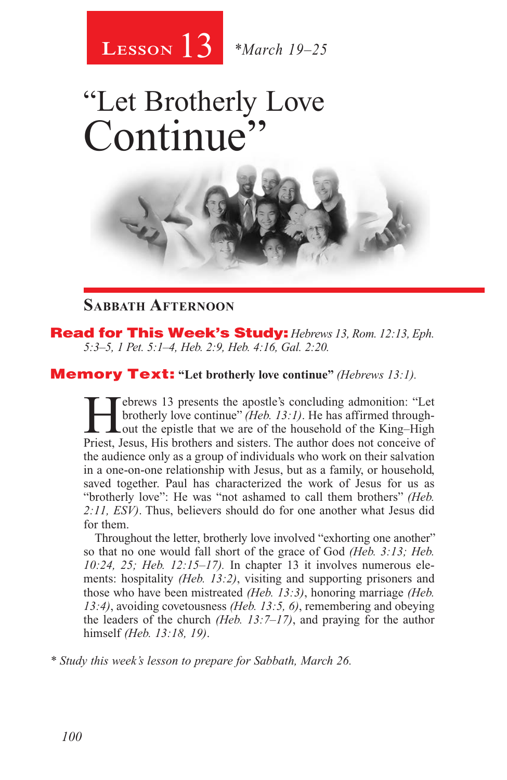

# "Let Brotherly Love Continue



### **Sabbath Afternoon**

Read for This Week's Study: *Hebrews 13, Rom. 12:13, Eph. 5:3–5, 1 Pet. 5:1–4, Heb. 2:9, Heb. 4:16, Gal. 2:20.*

#### Memory Text: **"Let brotherly love continue"** *(Hebrews 13:1).*

Febrews 13 presents the apostle's concluding admonition: "Let brotherly love continue" (Heb. 13:1). He has affirmed through-<br>out the epistle that we are of the household of the King–High<br>Priest Jesus His brothers and siste brotherly love continue" *(Heb. 13:1)*. He has affirmed through-Lout the epistle that we are of the household of the King–High Priest, Jesus, His brothers and sisters. The author does not conceive of the audience only as a group of individuals who work on their salvation in a one-on-one relationship with Jesus, but as a family, or household, saved together. Paul has characterized the work of Jesus for us as "brotherly love": He was "not ashamed to call them brothers" *(Heb. 2:11, ESV)*. Thus, believers should do for one another what Jesus did for them.

Throughout the letter, brotherly love involved "exhorting one another" so that no one would fall short of the grace of God *(Heb. 3:13; Heb. 10:24, 25; Heb. 12:15–17).* In chapter 13 it involves numerous elements: hospitality *(Heb. 13:2)*, visiting and supporting prisoners and those who have been mistreated *(Heb. 13:3)*, honoring marriage *(Heb. 13:4)*, avoiding covetousness *(Heb. 13:5, 6)*, remembering and obeying the leaders of the church *(Heb. 13:7–17)*, and praying for the author himself *(Heb. 13:18, 19)*.

*\* Study this week's lesson to prepare for Sabbath, March 26.*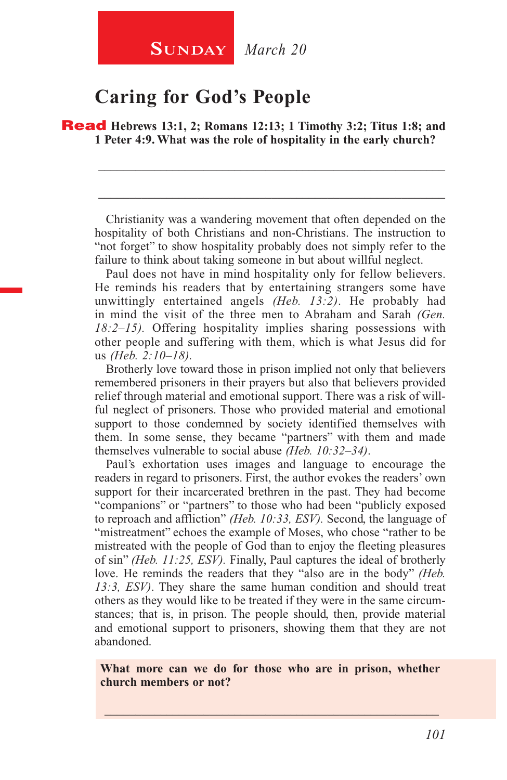## **SUNDAY** *March 20*

## **Caring for God's People**

Read **Hebrews 13:1, 2; Romans 12:13; 1 Timothy 3:2; Titus 1:8; and 1 Peter 4:9. What was the role of hospitality in the early church?**

Christianity was a wandering movement that often depended on the hospitality of both Christians and non-Christians. The instruction to "not forget" to show hospitality probably does not simply refer to the failure to think about taking someone in but about willful neglect.

\_\_\_\_\_\_\_\_\_\_\_\_\_\_\_\_\_\_\_\_\_\_\_\_\_\_\_\_\_\_\_\_\_\_\_\_\_\_\_\_\_\_\_\_\_\_\_\_\_\_\_\_\_\_\_\_

\_\_\_\_\_\_\_\_\_\_\_\_\_\_\_\_\_\_\_\_\_\_\_\_\_\_\_\_\_\_\_\_\_\_\_\_\_\_\_\_\_\_\_\_\_\_\_\_\_\_\_\_\_\_\_\_

Paul does not have in mind hospitality only for fellow believers. He reminds his readers that by entertaining strangers some have unwittingly entertained angels *(Heb. 13:2)*. He probably had in mind the visit of the three men to Abraham and Sarah *(Gen. 18:2–15).* Offering hospitality implies sharing possessions with other people and suffering with them, which is what Jesus did for us *(Heb. 2:10–18).*

Brotherly love toward those in prison implied not only that believers remembered prisoners in their prayers but also that believers provided relief through material and emotional support. There was a risk of willful neglect of prisoners. Those who provided material and emotional support to those condemned by society identified themselves with them. In some sense, they became "partners" with them and made themselves vulnerable to social abuse *(Heb. 10:32–34)*.

Paul's exhortation uses images and language to encourage the readers in regard to prisoners. First, the author evokes the readers' own support for their incarcerated brethren in the past. They had become "companions" or "partners" to those who had been "publicly exposed to reproach and affliction" *(Heb. 10:33, ESV).* Second, the language of "mistreatment" echoes the example of Moses, who chose "rather to be mistreated with the people of God than to enjoy the fleeting pleasures of sin" *(Heb. 11:25, ESV).* Finally, Paul captures the ideal of brotherly love. He reminds the readers that they "also are in the body" *(Heb. 13:3, ESV)*. They share the same human condition and should treat others as they would like to be treated if they were in the same circumstances; that is, in prison. The people should, then, provide material and emotional support to prisoners, showing them that they are not abandoned.

**What more can we do for those who are in prison, whether church members or not?**

\_\_\_\_\_\_\_\_\_\_\_\_\_\_\_\_\_\_\_\_\_\_\_\_\_\_\_\_\_\_\_\_\_\_\_\_\_\_\_\_\_\_\_\_\_\_\_\_\_\_\_\_\_\_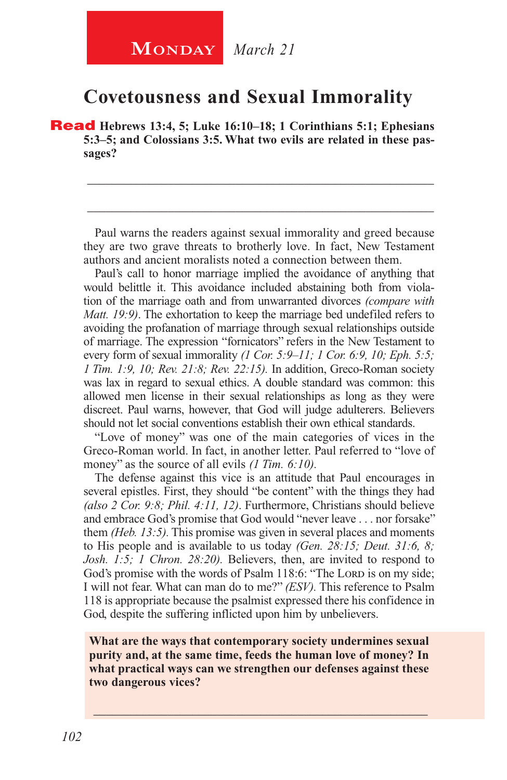## **Covetousness and Sexual Immorality**

Read **Hebrews 13:4, 5; Luke 16:10–18; 1 Corinthians 5:1; Ephesians 5:3–5; and Colossians 3:5. What two evils are related in these passages?**

Paul warns the readers against sexual immorality and greed because they are two grave threats to brotherly love. In fact, New Testament authors and ancient moralists noted a connection between them.

\_\_\_\_\_\_\_\_\_\_\_\_\_\_\_\_\_\_\_\_\_\_\_\_\_\_\_\_\_\_\_\_\_\_\_\_\_\_\_\_\_\_\_\_\_\_\_\_\_\_\_\_\_\_\_\_

\_\_\_\_\_\_\_\_\_\_\_\_\_\_\_\_\_\_\_\_\_\_\_\_\_\_\_\_\_\_\_\_\_\_\_\_\_\_\_\_\_\_\_\_\_\_\_\_\_\_\_\_\_\_\_\_

Paul's call to honor marriage implied the avoidance of anything that would belittle it. This avoidance included abstaining both from violation of the marriage oath and from unwarranted divorces *(compare with Matt. 19:9)*. The exhortation to keep the marriage bed undefiled refers to avoiding the profanation of marriage through sexual relationships outside of marriage. The expression "fornicators" refers in the New Testament to every form of sexual immorality *(1 Cor. 5:9–11; 1 Cor. 6:9, 10; Eph. 5:5; 1 Tim. 1:9, 10; Rev. 21:8; Rev. 22:15).* In addition, Greco-Roman society was lax in regard to sexual ethics. A double standard was common: this allowed men license in their sexual relationships as long as they were discreet. Paul warns, however, that God will judge adulterers. Believers should not let social conventions establish their own ethical standards.

"Love of money" was one of the main categories of vices in the Greco-Roman world. In fact, in another letter. Paul referred to "love of money" as the source of all evils *(1 Tim. 6:10)*.

The defense against this vice is an attitude that Paul encourages in several epistles. First, they should "be content" with the things they had *(also 2 Cor. 9:8; Phil. 4:11, 12)*. Furthermore, Christians should believe and embrace God's promise that God would "never leave . . . nor forsake" them *(Heb. 13:5).* This promise was given in several places and moments to His people and is available to us today *(Gen. 28:15; Deut. 31:6, 8; Josh. 1:5; 1 Chron. 28:20).* Believers, then, are invited to respond to God's promise with the words of Psalm 118:6: "The Lord is on my side; I will not fear. What can man do to me?" *(ESV).* This reference to Psalm 118 is appropriate because the psalmist expressed there his confidence in God, despite the suffering inflicted upon him by unbelievers.

**What are the ways that contemporary society undermines sexual purity and, at the same time, feeds the human love of money? In what practical ways can we strengthen our defenses against these two dangerous vices?**

\_\_\_\_\_\_\_\_\_\_\_\_\_\_\_\_\_\_\_\_\_\_\_\_\_\_\_\_\_\_\_\_\_\_\_\_\_\_\_\_\_\_\_\_\_\_\_\_\_\_\_\_\_\_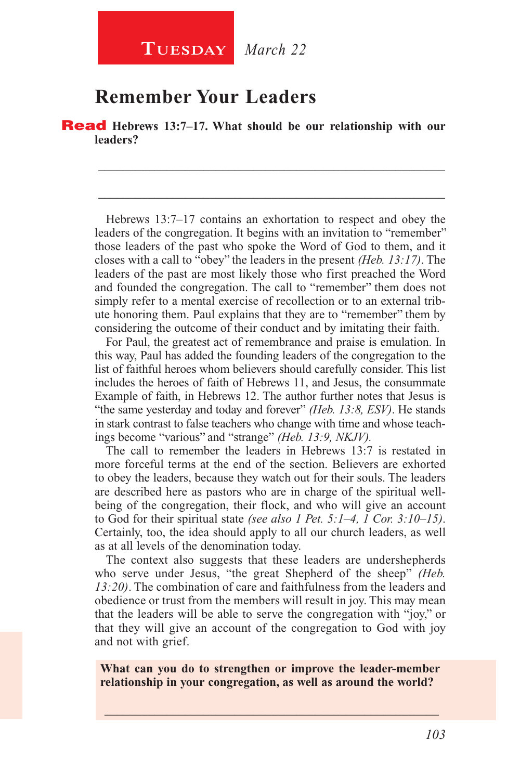## **Remember Your Leaders**

Read **Hebrews 13:7–17. What should be our relationship with our leaders?**

Hebrews 13:7–17 contains an exhortation to respect and obey the leaders of the congregation. It begins with an invitation to "remember" those leaders of the past who spoke the Word of God to them, and it closes with a call to "obey" the leaders in the present *(Heb. 13:17)*. The leaders of the past are most likely those who first preached the Word and founded the congregation. The call to "remember" them does not simply refer to a mental exercise of recollection or to an external tribute honoring them. Paul explains that they are to "remember" them by considering the outcome of their conduct and by imitating their faith.

\_\_\_\_\_\_\_\_\_\_\_\_\_\_\_\_\_\_\_\_\_\_\_\_\_\_\_\_\_\_\_\_\_\_\_\_\_\_\_\_\_\_\_\_\_\_\_\_\_\_\_\_\_\_\_\_

\_\_\_\_\_\_\_\_\_\_\_\_\_\_\_\_\_\_\_\_\_\_\_\_\_\_\_\_\_\_\_\_\_\_\_\_\_\_\_\_\_\_\_\_\_\_\_\_\_\_\_\_\_\_\_\_

For Paul, the greatest act of remembrance and praise is emulation. In this way, Paul has added the founding leaders of the congregation to the list of faithful heroes whom believers should carefully consider. This list includes the heroes of faith of Hebrews 11, and Jesus, the consummate Example of faith, in Hebrews 12. The author further notes that Jesus is "the same yesterday and today and forever" *(Heb. 13:8, ESV)*. He stands in stark contrast to false teachers who change with time and whose teachings become "various" and "strange" *(Heb. 13:9, NKJV).*

The call to remember the leaders in Hebrews 13:7 is restated in more forceful terms at the end of the section. Believers are exhorted to obey the leaders, because they watch out for their souls. The leaders are described here as pastors who are in charge of the spiritual wellbeing of the congregation, their flock, and who will give an account to God for their spiritual state *(see also 1 Pet. 5:1–4, 1 Cor. 3:10–15)*. Certainly, too, the idea should apply to all our church leaders, as well as at all levels of the denomination today.

The context also suggests that these leaders are undershepherds who serve under Jesus, "the great Shepherd of the sheep" *(Heb. 13:20)*. The combination of care and faithfulness from the leaders and obedience or trust from the members will result in joy. This may mean that the leaders will be able to serve the congregation with "joy," or that they will give an account of the congregation to God with joy and not with grief.

**What can you do to strengthen or improve the leader-member relationship in your congregation, as well as around the world?**

\_\_\_\_\_\_\_\_\_\_\_\_\_\_\_\_\_\_\_\_\_\_\_\_\_\_\_\_\_\_\_\_\_\_\_\_\_\_\_\_\_\_\_\_\_\_\_\_\_\_\_\_\_\_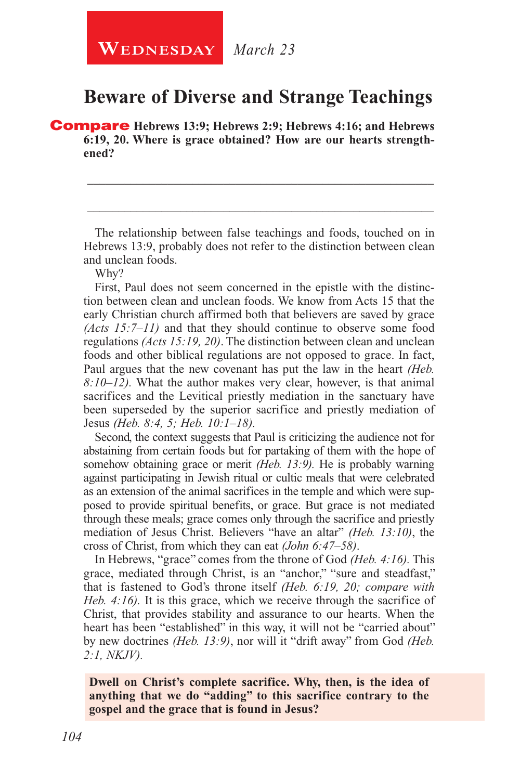## **Beware of Diverse and Strange Teachings**

Compare **Hebrews 13:9; Hebrews 2:9; Hebrews 4:16; and Hebrews 6:19, 20. Where is grace obtained? How are our hearts strengthened?**

The relationship between false teachings and foods, touched on in Hebrews 13:9, probably does not refer to the distinction between clean and unclean foods.

\_\_\_\_\_\_\_\_\_\_\_\_\_\_\_\_\_\_\_\_\_\_\_\_\_\_\_\_\_\_\_\_\_\_\_\_\_\_\_\_\_\_\_\_\_\_\_\_\_\_\_\_\_\_\_\_

\_\_\_\_\_\_\_\_\_\_\_\_\_\_\_\_\_\_\_\_\_\_\_\_\_\_\_\_\_\_\_\_\_\_\_\_\_\_\_\_\_\_\_\_\_\_\_\_\_\_\_\_\_\_\_\_

Why?

First, Paul does not seem concerned in the epistle with the distinction between clean and unclean foods. We know from Acts 15 that the early Christian church affirmed both that believers are saved by grace *(Acts 15:7–11)* and that they should continue to observe some food regulations *(Acts 15:19, 20)*. The distinction between clean and unclean foods and other biblical regulations are not opposed to grace. In fact, Paul argues that the new covenant has put the law in the heart *(Heb. 8:10–12).* What the author makes very clear, however, is that animal sacrifices and the Levitical priestly mediation in the sanctuary have been superseded by the superior sacrifice and priestly mediation of Jesus *(Heb. 8:4, 5; Heb. 10:1–18).*

Second, the context suggests that Paul is criticizing the audience not for abstaining from certain foods but for partaking of them with the hope of somehow obtaining grace or merit *(Heb. 13:9).* He is probably warning against participating in Jewish ritual or cultic meals that were celebrated as an extension of the animal sacrifices in the temple and which were supposed to provide spiritual benefits, or grace. But grace is not mediated through these meals; grace comes only through the sacrifice and priestly mediation of Jesus Christ. Believers "have an altar" *(Heb. 13:10)*, the cross of Christ, from which they can eat *(John 6:47–58)*.

In Hebrews, "grace" comes from the throne of God *(Heb. 4:16).* This grace, mediated through Christ, is an "anchor," "sure and steadfast," that is fastened to God's throne itself *(Heb. 6:19, 20; compare with Heb. 4:16).* It is this grace, which we receive through the sacrifice of Christ, that provides stability and assurance to our hearts. When the heart has been "established" in this way, it will not be "carried about" by new doctrines *(Heb. 13:9)*, nor will it "drift away" from God *(Heb. 2:1, NKJV).*

**Dwell on Christ's complete sacrifice. Why, then, is the idea of anything that we do "adding" to this sacrifice contrary to the gospel and the grace that is found in Jesus?**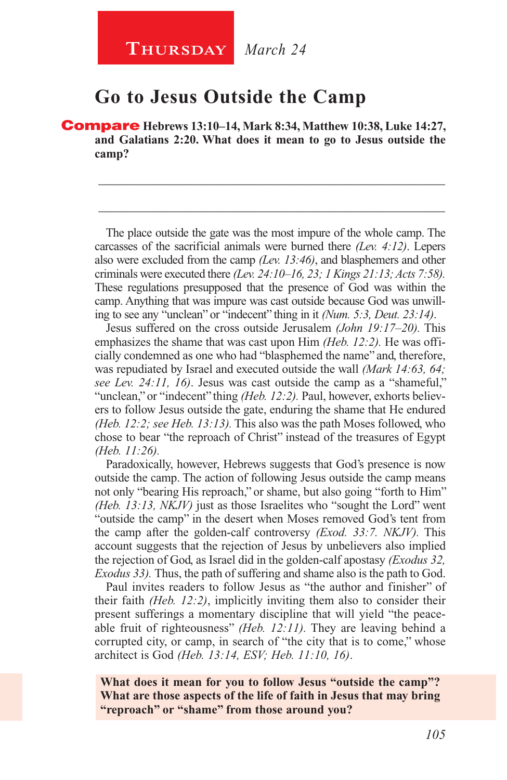## **Go to Jesus Outside the Camp**

Compare **Hebrews 13:10–14, Mark 8:34, Matthew 10:38, Luke 14:27, and Galatians 2:20. What does it mean to go to Jesus outside the camp?**

The place outside the gate was the most impure of the whole camp. The carcasses of the sacrificial animals were burned there *(Lev. 4:12)*. Lepers also were excluded from the camp *(Lev. 13:46)*, and blasphemers and other criminals were executed there *(Lev. 24:10–16, 23; 1 Kings 21:13; Acts 7:58).*  These regulations presupposed that the presence of God was within the camp. Anything that was impure was cast outside because God was unwilling to see any "unclean" or "indecent" thing in it *(Num. 5:3, Deut. 23:14)*.

\_\_\_\_\_\_\_\_\_\_\_\_\_\_\_\_\_\_\_\_\_\_\_\_\_\_\_\_\_\_\_\_\_\_\_\_\_\_\_\_\_\_\_\_\_\_\_\_\_\_\_\_\_\_\_\_

\_\_\_\_\_\_\_\_\_\_\_\_\_\_\_\_\_\_\_\_\_\_\_\_\_\_\_\_\_\_\_\_\_\_\_\_\_\_\_\_\_\_\_\_\_\_\_\_\_\_\_\_\_\_\_\_

Jesus suffered on the cross outside Jerusalem *(John 19:17–20).* This emphasizes the shame that was cast upon Him *(Heb. 12:2).* He was officially condemned as one who had "blasphemed the name" and, therefore, was repudiated by Israel and executed outside the wall *(Mark 14:63, 64; see Lev. 24:11, 16)*. Jesus was cast outside the camp as a "shameful," "unclean," or "indecent" thing *(Heb. 12:2)*. Paul, however, exhorts believers to follow Jesus outside the gate, enduring the shame that He endured *(Heb. 12:2; see Heb. 13:13).* This also was the path Moses followed, who chose to bear "the reproach of Christ" instead of the treasures of Egypt *(Heb. 11:26).*

Paradoxically, however, Hebrews suggests that God's presence is now outside the camp. The action of following Jesus outside the camp means not only "bearing His reproach," or shame, but also going "forth to Him" *(Heb. 13:13, NKJV)* just as those Israelites who "sought the Lord" went "outside the camp" in the desert when Moses removed God's tent from the camp after the golden-calf controversy *(Exod. 33:7. NKJV).* This account suggests that the rejection of Jesus by unbelievers also implied the rejection of God, as Israel did in the golden-calf apostasy *(Exodus 32, Exodus 33).* Thus, the path of suffering and shame also is the path to God.

Paul invites readers to follow Jesus as "the author and finisher" of their faith *(Heb. 12:2)*, implicitly inviting them also to consider their present sufferings a momentary discipline that will yield "the peaceable fruit of righteousness" *(Heb. 12:11).* They are leaving behind a corrupted city, or camp, in search of "the city that is to come," whose architect is God *(Heb. 13:14, ESV; Heb. 11:10, 16)*.

**What does it mean for you to follow Jesus "outside the camp"? What are those aspects of the life of faith in Jesus that may bring "reproach" or "shame" from those around you?**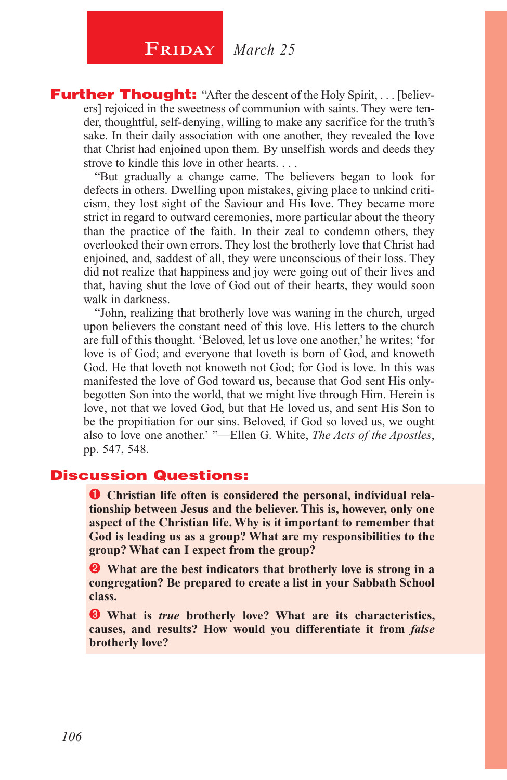## $\begin{array}{|c|c|} \hline \textbf{FRIDAY} & \textit{March 25} \hline \end{array}$

**Further Thought:** "After the descent of the Holy Spirit, . . . [believers] rejoiced in the sweetness of communion with saints. They were tender, thoughtful, self-denying, willing to make any sacrifice for the truth's sake. In their daily association with one another, they revealed the love that Christ had enjoined upon them. By unselfish words and deeds they strove to kindle this love in other hearts. . . .

"But gradually a change came. The believers began to look for defects in others. Dwelling upon mistakes, giving place to unkind criticism, they lost sight of the Saviour and His love. They became more strict in regard to outward ceremonies, more particular about the theory than the practice of the faith. In their zeal to condemn others, they overlooked their own errors. They lost the brotherly love that Christ had enjoined, and, saddest of all, they were unconscious of their loss. They did not realize that happiness and joy were going out of their lives and that, having shut the love of God out of their hearts, they would soon walk in darkness.

"John, realizing that brotherly love was waning in the church, urged upon believers the constant need of this love. His letters to the church are full of this thought. 'Beloved, let us love one another,' he writes; 'for love is of God; and everyone that loveth is born of God, and knoweth God. He that loveth not knoweth not God; for God is love. In this was manifested the love of God toward us, because that God sent His onlybegotten Son into the world, that we might live through Him. Herein is love, not that we loved God, but that He loved us, and sent His Son to be the propitiation for our sins. Beloved, if God so loved us, we ought also to love one another.' "—Ellen G. White, *The Acts of the Apostles*, pp. 547, 548.

#### Discussion Questions:

**O** Christian life often is considered the personal, individual rela**tionship between Jesus and the believer. This is, however, only one aspect of the Christian life. Why is it important to remember that God is leading us as a group? What are my responsibilities to the group? What can I expect from the group?**

 **What are the best indicators that brotherly love is strong in a congregation? Be prepared to create a list in your Sabbath School class.** 

 **What is** *true* **brotherly love? What are its characteristics, causes, and results? How would you differentiate it from** *false* **brotherly love?**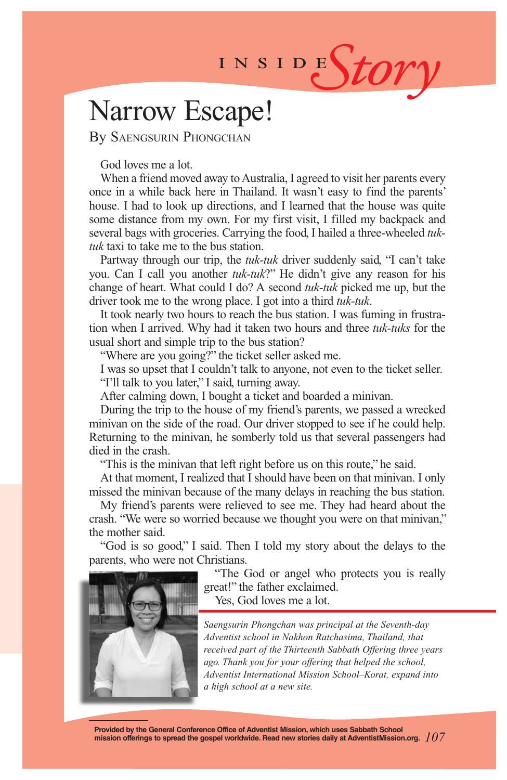# INSIDES*tory*

## Narrow Escape!

By Saengsurin Phongchan

God loves me a lot.

When a friend moved away to Australia, I agreed to visit her parents every once in a while back here in Thailand. It wasn't easy to find the parents' house. I had to look up directions, and I learned that the house was quite some distance from my own. For my first visit, I filled my backpack and several bags with groceries. Carrying the food, I hailed a three-wheeled *tuktuk* taxi to take me to the bus station.

Partway through our trip, the *tuk-tuk* driver suddenly said, "I can't take you. Can I call you another *tuk-tuk*?" He didn't give any reason for his change of heart. What could I do? A second *tuk-tuk* picked me up, but the driver took me to the wrong place. I got into a third *tuk-tuk*.

It took nearly two hours to reach the bus station. I was fuming in frustration when I arrived. Why had it taken two hours and three *tuk-tuks* for the usual short and simple trip to the bus station?

"Where are you going?" the ticket seller asked me.

I was so upset that I couldn't talk to anyone, not even to the ticket seller.

"I'll talk to you later," I said, turning away.

After calming down, I bought a ticket and boarded a minivan.

During the trip to the house of my friend's parents, we passed a wrecked minivan on the side of the road. Our driver stopped to see if he could help. Returning to the minivan, he somberly told us that several passengers had died in the crash.

"This is the minivan that left right before us on this route," he said.

At that moment, I realized that I should have been on that minivan. I only missed the minivan because of the many delays in reaching the bus station.

My friend's parents were relieved to see me. They had heard about the crash. "We were so worried because we thought you were on that minivan," the mother said.

"God is so good," I said. Then I told my story about the delays to the parents, who were not Christians.



"The God or angel who protects you is really great!" the father exclaimed.

Yes, God loves me a lot.

*Saengsurin Phongchan was principal at the Seventh-day Adventist school in Nakhon Ratchasima, Thailand, that received part of the Thirteenth Sabbath Offering three years ago. Thank you for your offering that helped the school, Adventist International Mission School–Korat, expand into a high school at a new site.*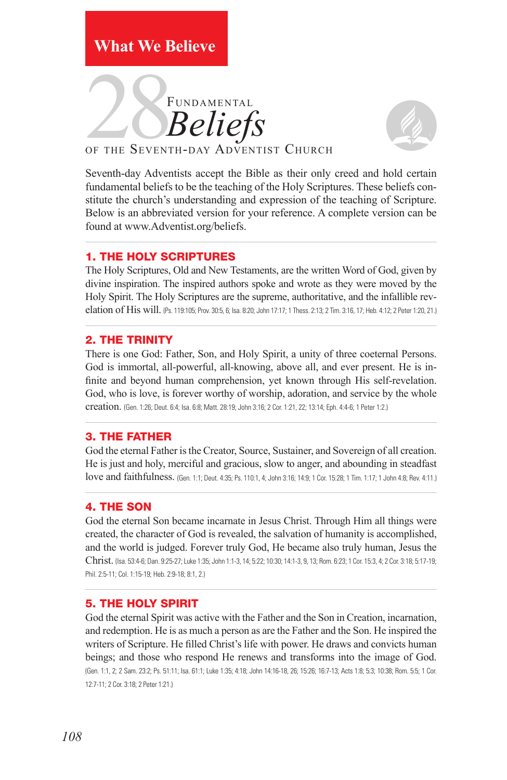## **What We Believe**





Seventh-day Adventists accept the Bible as their only creed and hold certain fundamental beliefs to be the teaching of the Holy Scriptures. These beliefs constitute the church's understanding and expression of the teaching of Scripture. Below is an abbreviated version for your reference. A complete version can be found at www.Adventist.org/beliefs.

#### 1. THE HOLY SCRIPTURES

The Holy Scriptures, Old and New Testaments, are the written Word of God, given by divine inspiration. The inspired authors spoke and wrote as they were moved by the Holy Spirit. The Holy Scriptures are the supreme, authoritative, and the infallible revelation of His will. (Ps. 119:105; Prov. 30:5, 6; Isa. 8:20; John 17:17; 1 Thess. 2:13; 2 Tim. 3:16, 17; Heb. 4:12; 2 Peter 1:20, 21.)

#### 2. THE TRINITY

There is one God: Father, Son, and Holy Spirit, a unity of three coeternal Persons. God is immortal, all-powerful, all-knowing, above all, and ever present. He is infinite and beyond human comprehension, yet known through His self-revelation. God, who is love, is forever worthy of worship, adoration, and service by the whole creation. (Gen. 1:26; Deut. 6:4; Isa. 6:8; Matt. 28:19; John 3:16; 2 Cor. 1:21, 22; 13:14; Eph. 4:4-6; 1 Peter 1:2.)

#### 3. THE FATHER

God the eternal Father is the Creator, Source, Sustainer, and Sovereign of all creation. He is just and holy, merciful and gracious, slow to anger, and abounding in steadfast love and faithfulness. (Gen. 1:1; Deut. 4:35; Ps. 110:1, 4; John 3:16; 14:9; 1 Cor. 15:28; 1 Tim. 1:17; 1 John 4:8; Rev. 4:11.)

#### 4. THE SON

God the eternal Son became incarnate in Jesus Christ. Through Him all things were created, the character of God is revealed, the salvation of humanity is accomplished, and the world is judged. Forever truly God, He became also truly human, Jesus the Christ. (Isa. 53:4-6; Dan. 9:25-27; Luke 1:35; John 1:1-3, 14; 5:22; 10:30; 14:1-3, 9, 13; Rom. 6:23; 1 Cor. 15:3, 4; 2 Cor. 3:18; 5:17-19; Phil. 2:5-11; Col. 1:15-19; Heb. 2:9-18; 8:1, 2.)

#### 5. THE HOLY SPIRIT

God the eternal Spirit was active with the Father and the Son in Creation, incarnation, and redemption. He is as much a person as are the Father and the Son. He inspired the writers of Scripture. He filled Christ's life with power. He draws and convicts human beings; and those who respond He renews and transforms into the image of God. (Gen. 1:1, 2; 2 Sam. 23:2; Ps. 51:11; Isa. 61:1; Luke 1:35; 4:18; John 14:16-18, 26; 15:26; 16:7-13; Acts 1:8; 5:3; 10:38; Rom. 5:5; 1 Cor. 12:7-11; 2 Cor. 3:18; 2 Peter 1:21.)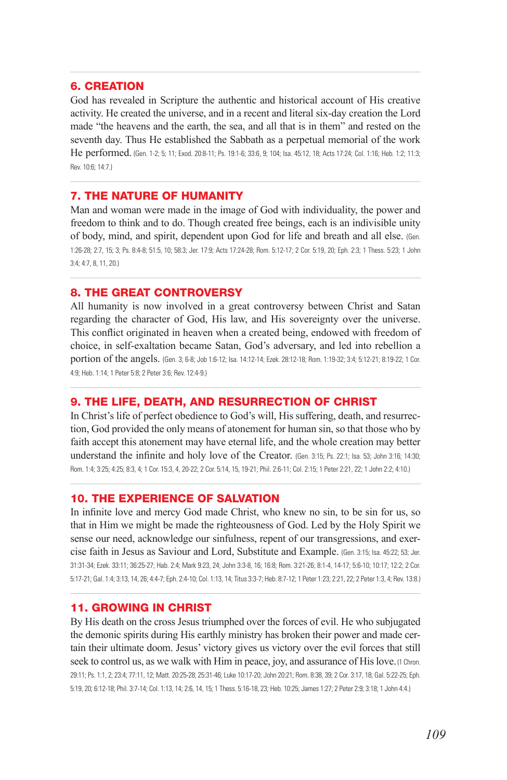#### 6. CREATION

God has revealed in Scripture the authentic and historical account of His creative activity. He created the universe, and in a recent and literal six-day creation the Lord made "the heavens and the earth, the sea, and all that is in them" and rested on the seventh day. Thus He established the Sabbath as a perpetual memorial of the work He performed. (Gen. 1-2; 5; 11; Exod. 20:8-11; Ps. 19:1-6; 33:6, 9; 104; Isa. 45:12, 18; Acts 17:24; Col. 1:16; Heb. 1:2; 11:3; Rev. 10:6; 14:7.)

#### 7. THE NATURE OF HUMANITY

Man and woman were made in the image of God with individuality, the power and freedom to think and to do. Though created free beings, each is an indivisible unity of body, mind, and spirit, dependent upon God for life and breath and all else. (Gen. 1:26-28; 2:7, 15; 3; Ps. 8:4-8; 51:5, 10; 58:3; Jer. 17:9; Acts 17:24-28; Rom. 5:12-17; 2 Cor. 5:19, 20; Eph. 2:3; 1 Thess. 5:23; 1 John 3:4; 4:7, 8, 11, 20.)

#### 8. THE GREAT CONTROVERSY

All humanity is now involved in a great controversy between Christ and Satan regarding the character of God, His law, and His sovereignty over the universe. This conflict originated in heaven when a created being, endowed with freedom of choice, in self-exaltation became Satan, God's adversary, and led into rebellion a portion of the angels. (Gen. 3; 6-8; Job 1:6-12; Isa. 14:12-14; Ezek. 28:12-18; Rom. 1:19-32; 3:4; 5:12-21; 8:19-22; 1 Cor. 4:9; Heb. 1:14; 1 Peter 5:8; 2 Peter 3:6; Rev. 12:4-9.)

#### 9. THE LIFE, DEATH, AND RESURRECTION OF CHRIST

In Christ's life of perfect obedience to God's will, His suffering, death, and resurrection, God provided the only means of atonement for human sin, so that those who by faith accept this atonement may have eternal life, and the whole creation may better understand the infinite and holy love of the Creator. (Gen. 3:15; Ps. 22:1; Isa. 53; John 3:16; 14:30; Rom. 1:4; 3:25; 4:25; 8:3, 4; 1 Cor. 15:3, 4, 20-22; 2 Cor. 5:14, 15, 19-21; Phil. 2:6-11; Col. 2:15; 1 Peter 2:21, 22; 1 John 2:2; 4:10.)

#### 10. THE EXPERIENCE OF SALVATION

In infinite love and mercy God made Christ, who knew no sin, to be sin for us, so that in Him we might be made the righteousness of God. Led by the Holy Spirit we sense our need, acknowledge our sinfulness, repent of our transgressions, and exercise faith in Jesus as Saviour and Lord, Substitute and Example. (Gen. 3:15; Isa. 45:22; 53; Jer. 31:31-34; Ezek. 33:11; 36:25-27; Hab. 2:4; Mark 9:23, 24; John 3:3-8, 16; 16:8; Rom. 3:21-26; 8:1-4, 14-17; 5:6-10; 10:17; 12:2; 2 Cor. 5:17-21; Gal. 1:4; 3:13, 14, 26; 4:4-7; Eph. 2:4-10; Col. 1:13, 14; Titus 3:3-7; Heb. 8:7-12; 1 Peter 1:23; 2:21, 22; 2 Peter 1:3, 4; Rev. 13:8.)

#### 11. GROWING IN CHRIST

By His death on the cross Jesus triumphed over the forces of evil. He who subjugated the demonic spirits during His earthly ministry has broken their power and made certain their ultimate doom. Jesus' victory gives us victory over the evil forces that still seek to control us, as we walk with Him in peace, joy, and assurance of His love. (1 Chron. 29:11; Ps. 1:1, 2; 23:4; 77:11, 12; Matt. 20:25-28; 25:31-46; Luke 10:17-20; John 20:21; Rom. 8:38, 39; 2 Cor. 3:17, 18; Gal. 5:22-25; Eph. 5:19, 20; 6:12-18; Phil. 3:7-14; Col. 1:13, 14; 2:6, 14, 15; 1 Thess. 5:16-18, 23; Heb. 10:25; James 1:27; 2 Peter 2:9; 3:18; 1 John 4:4.)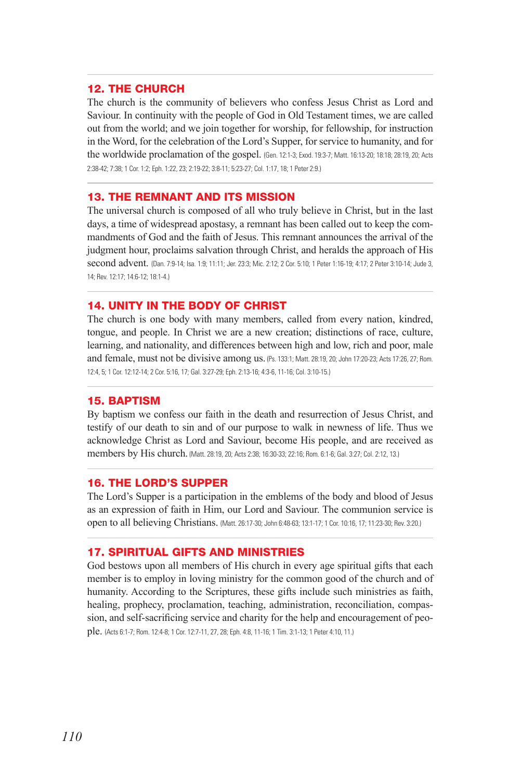#### 12. THE CHURCH

The church is the community of believers who confess Jesus Christ as Lord and Saviour. In continuity with the people of God in Old Testament times, we are called out from the world; and we join together for worship, for fellowship, for instruction in the Word, for the celebration of the Lord's Supper, for service to humanity, and for the worldwide proclamation of the gospel. (Gen. 12:1-3; Exod. 19:3-7; Matt. 16:13-20; 18:18; 28:19, 20; Acts 2:38-42; 7:38; 1 Cor. 1:2; Eph. 1:22, 23; 2:19-22; 3:8-11; 5:23-27; Col. 1:17, 18; 1 Peter 2:9.)

#### 13. THE REMNANT AND ITS MISSION

The universal church is composed of all who truly believe in Christ, but in the last days, a time of widespread apostasy, a remnant has been called out to keep the commandments of God and the faith of Jesus. This remnant announces the arrival of the judgment hour, proclaims salvation through Christ, and heralds the approach of His second advent. (Dan. 7:9-14; Isa. 1:9; 11:11; Jer. 23:3; Mic. 2:12; 2 Cor. 5:10; 1 Peter 1:16-19; 4:17; 2 Peter 3:10-14; Jude 3, 14; Rev. 12:17; 14:6-12; 18:1-4.)

#### 14. UNITY IN THE BODY OF CHRIST

The church is one body with many members, called from every nation, kindred, tongue, and people. In Christ we are a new creation; distinctions of race, culture, learning, and nationality, and differences between high and low, rich and poor, male and female, must not be divisive among us. (Ps. 133:1; Matt. 28:19, 20; John 17:20-23; Acts 17:26, 27; Rom. 12:4, 5; 1 Cor. 12:12-14; 2 Cor. 5:16, 17; Gal. 3:27-29; Eph. 2:13-16; 4:3-6, 11-16; Col. 3:10-15.)

#### 15. BAPTISM

By baptism we confess our faith in the death and resurrection of Jesus Christ, and testify of our death to sin and of our purpose to walk in newness of life. Thus we acknowledge Christ as Lord and Saviour, become His people, and are received as members by His church. (Matt. 28:19, 20; Acts 2:38; 16:30-33; 22:16; Rom. 6:1-6; Gal. 3:27; Col. 2:12, 13.)

#### 16. THE LORD'S SUPPER

The Lord's Supper is a participation in the emblems of the body and blood of Jesus as an expression of faith in Him, our Lord and Saviour. The communion service is open to all believing Christians. (Matt. 26:17-30; John 6:48-63; 13:1-17; 1 Cor. 10:16, 17; 11:23-30; Rev. 3:20.)

#### 17. SPIRITUAL GIFTS AND MINISTRIES

God bestows upon all members of His church in every age spiritual gifts that each member is to employ in loving ministry for the common good of the church and of humanity. According to the Scriptures, these gifts include such ministries as faith, healing, prophecy, proclamation, teaching, administration, reconciliation, compassion, and self-sacrificing service and charity for the help and encouragement of people. (Acts 6:1-7; Rom. 12:4-8; 1 Cor. 12:7-11, 27, 28; Eph. 4:8, 11-16; 1 Tim. 3:1-13; 1 Peter 4:10, 11.)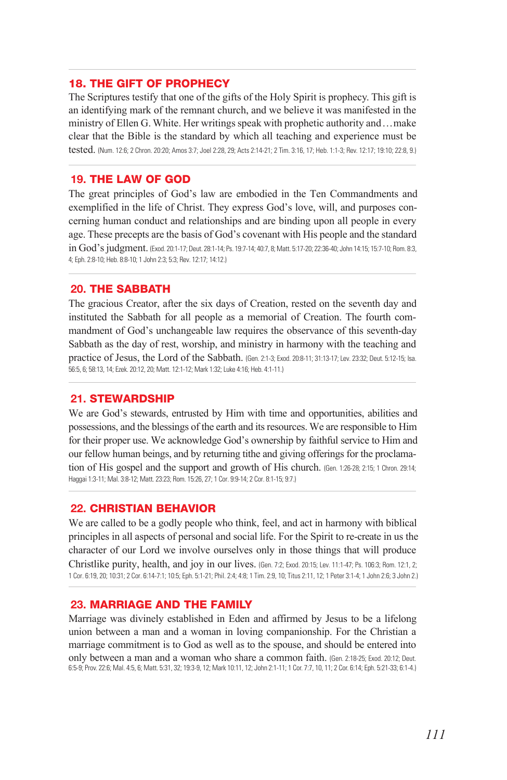#### 18. THE GIFT OF PROPHECY

The Scriptures testify that one of the gifts of the Holy Spirit is prophecy. This gift is an identifying mark of the remnant church, and we believe it was manifested in the ministry of Ellen G. White. Her writings speak with prophetic authority and . . . make clear that the Bible is the standard by which all teaching and experience must be tested. (Num. 12:6; 2 Chron. 20:20; Amos 3:7; Joel 2:28, 29; Acts 2:14-21; 2 Tim. 3:16, 17; Heb. 1:1-3; Rev. 12:17; 19:10; 22:8, 9.)

#### **19.** THE LAW OF GOD

The great principles of God's law are embodied in the Ten Commandments and exemplified in the life of Christ. They express God's love, will, and purposes concerning human conduct and relationships and are binding upon all people in every age. These precepts are the basis of God's covenant with His people and the standard in God's judgment. (Exod. 20:1-17; Deut. 28:1-14; Ps. 19:7-14; 40:7, 8; Matt. 5:17-20; 22:36-40; John 14:15; 15:7-10; Rom. 8:3, 4; Eph. 2:8-10; Heb. 8:8-10; 1 John 2:3; 5:3; Rev. 12:17; 14:12.)

#### **20.** THE SABBATH

The gracious Creator, after the six days of Creation, rested on the seventh day and instituted the Sabbath for all people as a memorial of Creation. The fourth commandment of God's unchangeable law requires the observance of this seventh-day Sabbath as the day of rest, worship, and ministry in harmony with the teaching and practice of Jesus, the Lord of the Sabbath. (Gen. 2:1-3; Exod. 20:8-11; 31:13-17; Lev. 23:32; Deut. 5:12-15; Isa. 56:5, 6; 58:13, 14; Ezek. 20:12, 20; Matt. 12:1-12; Mark 1:32; Luke 4:16; Heb. 4:1-11.)

#### **21.** STEWARDSHIP

We are God's stewards, entrusted by Him with time and opportunities, abilities and possessions, and the blessings of the earth and its resources. We are responsible to Him for their proper use. We acknowledge God's ownership by faithful service to Him and our fellow human beings, and by returning tithe and giving offerings for the proclamation of His gospel and the support and growth of His church. (Gen. 1:26-28; 2:15; 1 Chron. 29:14; Haggai 1:3-11; Mal. 3:8-12; Matt. 23:23; Rom. 15:26, 27; 1 Cor. 9:9-14; 2 Cor. 8:1-15; 9:7.)

#### **22.** CHRISTIAN BEHAVIOR

We are called to be a godly people who think, feel, and act in harmony with biblical principles in all aspects of personal and social life. For the Spirit to re-create in us the character of our Lord we involve ourselves only in those things that will produce Christlike purity, health, and joy in our lives. (Gen. 7:2; Exod. 20:15; Lev. 11:1-47; Ps. 106:3; Rom. 12:1, 2; 1 Cor. 6:19, 20; 10:31; 2 Cor. 6:14-7:1; 10:5; Eph. 5:1-21; Phil. 2:4; 4:8; 1 Tim. 2:9, 10; Titus 2:11, 12; 1 Peter 3:1-4; 1 John 2:6; 3 John 2.)

#### **23.** MARRIAGE AND THE FAMILY

Marriage was divinely established in Eden and affirmed by Jesus to be a lifelong union between a man and a woman in loving companionship. For the Christian a marriage commitment is to God as well as to the spouse, and should be entered into only between a man and a woman who share a common faith. (Gen. 2:18-25; Exod. 20:12; Deut. 6:5-9; Prov. 22:6; Mal. 4:5, 6; Matt. 5:31, 32; 19:3-9, 12; Mark 10:11, 12; John 2:1-11; 1 Cor. 7:7, 10, 11; 2 Cor. 6:14; Eph. 5:21-33; 6:1-4.)